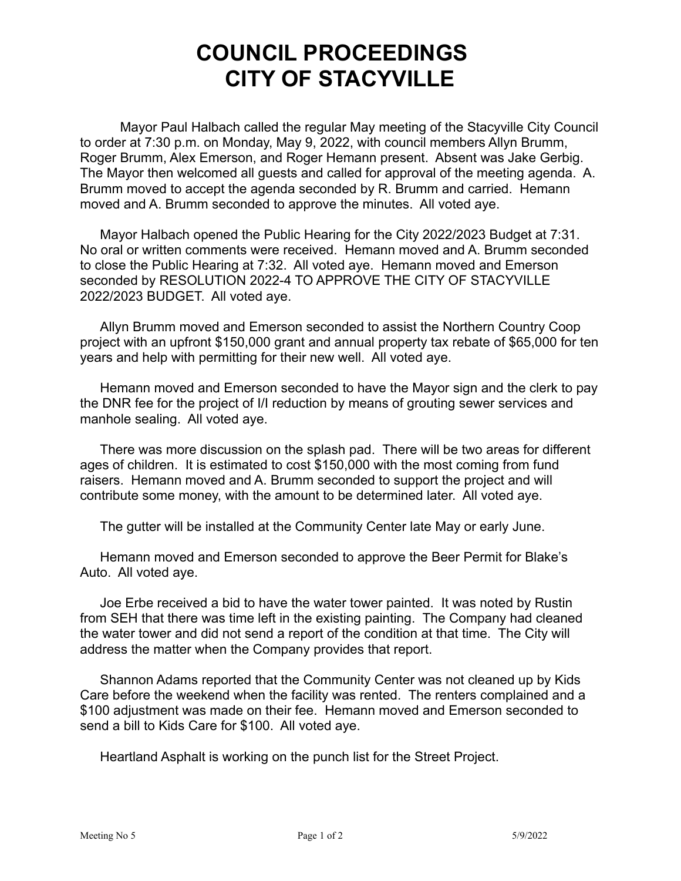# **COUNCIL PROCEEDINGS CITY OF STACYVILLE**

Mayor Paul Halbach called the regular May meeting of the Stacyville City Council to order at 7:30 p.m. on Monday, May 9, 2022, with council members Allyn Brumm, Roger Brumm, Alex Emerson, and Roger Hemann present. Absent was Jake Gerbig. The Mayor then welcomed all guests and called for approval of the meeting agenda. A. Brumm moved to accept the agenda seconded by R. Brumm and carried. Hemann moved and A. Brumm seconded to approve the minutes. All voted aye.

Mayor Halbach opened the Public Hearing for the City 2022/2023 Budget at 7:31. No oral or written comments were received. Hemann moved and A. Brumm seconded to close the Public Hearing at 7:32. All voted aye. Hemann moved and Emerson seconded by RESOLUTION 2022-4 TO APPROVE THE CITY OF STACYVILLE 2022/2023 BUDGET. All voted aye.

Allyn Brumm moved and Emerson seconded to assist the Northern Country Coop project with an upfront \$150,000 grant and annual property tax rebate of \$65,000 for ten years and help with permitting for their new well. All voted aye.

Hemann moved and Emerson seconded to have the Mayor sign and the clerk to pay the DNR fee for the project of I/I reduction by means of grouting sewer services and manhole sealing. All voted aye.

There was more discussion on the splash pad. There will be two areas for different ages of children. It is estimated to cost \$150,000 with the most coming from fund raisers. Hemann moved and A. Brumm seconded to support the project and will contribute some money, with the amount to be determined later. All voted aye.

The gutter will be installed at the Community Center late May or early June.

Hemann moved and Emerson seconded to approve the Beer Permit for Blake's Auto. All voted aye.

Joe Erbe received a bid to have the water tower painted. It was noted by Rustin from SEH that there was time left in the existing painting. The Company had cleaned the water tower and did not send a report of the condition at that time. The City will address the matter when the Company provides that report.

Shannon Adams reported that the Community Center was not cleaned up by Kids Care before the weekend when the facility was rented. The renters complained and a \$100 adjustment was made on their fee. Hemann moved and Emerson seconded to send a bill to Kids Care for \$100. All voted aye.

Heartland Asphalt is working on the punch list for the Street Project.